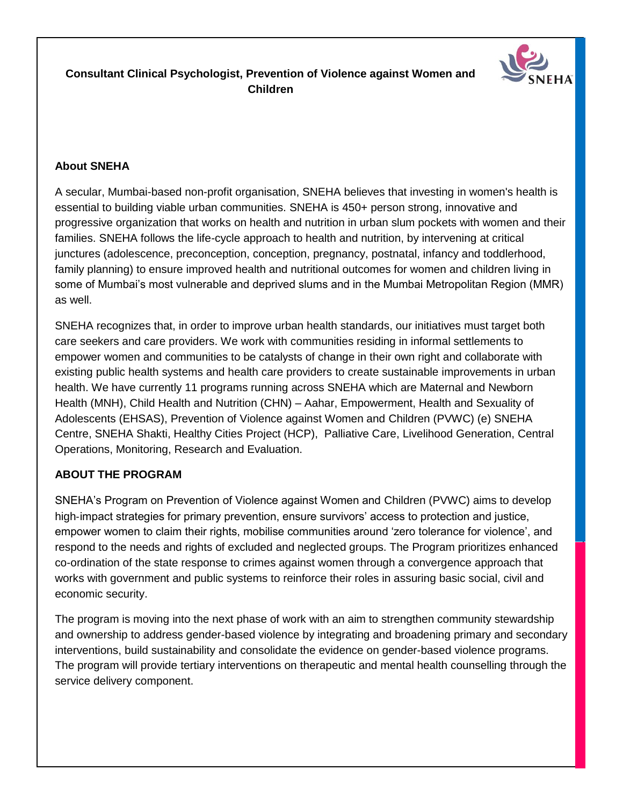# **Consultant Clinical Psychologist, Prevention of Violence against Women and Children**



## **About SNEHA**

A secular, Mumbai-based non-profit organisation, SNEHA believes that investing in women's health is essential to building viable urban communities. SNEHA is 450+ person strong, innovative and progressive organization that works on health and nutrition in urban slum pockets with women and their families. SNEHA follows the life-cycle approach to health and nutrition, by intervening at critical junctures (adolescence, preconception, conception, pregnancy, postnatal, infancy and toddlerhood, family planning) to ensure improved health and nutritional outcomes for women and children living in some of Mumbai's most vulnerable and deprived slums and in the Mumbai Metropolitan Region (MMR) as well.

SNEHA recognizes that, in order to improve urban health standards, our initiatives must target both care seekers and care providers. We work with communities residing in informal settlements to empower women and communities to be catalysts of change in their own right and collaborate with existing public health systems and health care providers to create sustainable improvements in urban health. We have currently 11 programs running across SNEHA which are Maternal and Newborn Health (MNH), Child Health and Nutrition (CHN) – Aahar, Empowerment, Health and Sexuality of Adolescents (EHSAS), Prevention of Violence against Women and Children (PVWC) (e) SNEHA Centre, SNEHA Shakti, Healthy Cities Project (HCP), Palliative Care, Livelihood Generation, Central Operations, Monitoring, Research and Evaluation.

## **ABOUT THE PROGRAM**

SNEHA's Program on Prevention of Violence against Women and Children (PVWC) aims to develop high-impact strategies for primary prevention, ensure survivors' access to protection and justice, empower women to claim their rights, mobilise communities around 'zero tolerance for violence', and respond to the needs and rights of excluded and neglected groups. The Program prioritizes enhanced co-ordination of the state response to crimes against women through a convergence approach that works with government and public systems to reinforce their roles in assuring basic social, civil and economic security.

The program is moving into the next phase of work with an aim to strengthen community stewardship and ownership to address gender-based violence by integrating and broadening primary and secondary interventions, build sustainability and consolidate the evidence on gender-based violence programs. The program will provide tertiary interventions on therapeutic and mental health counselling through the service delivery component.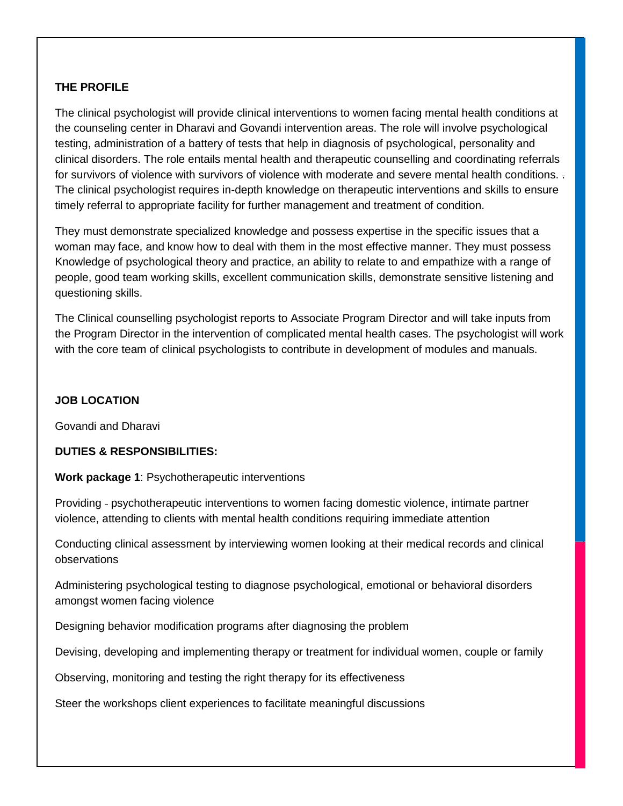### **THE PROFILE**

The clinical psychologist will provide clinical interventions to women facing mental health conditions at the counseling center in Dharavi and Govandi intervention areas. The role will involve psychological testing, administration of a battery of tests that help in diagnosis of psychological, personality and clinical disorders. The role entails mental health and therapeutic counselling and coordinating referrals for survivors of violence with survivors of violence with moderate and severe mental health conditions. . The clinical psychologist requires in-depth knowledge on therapeutic interventions and skills to ensure timely referral to appropriate facility for further management and treatment of condition.

They must demonstrate specialized knowledge and possess expertise in the specific issues that a woman may face, and know how to deal with them in the most effective manner. They must possess Knowledge of psychological theory and practice, an ability to relate to and empathize with a range of people, good team working skills, excellent communication skills, demonstrate sensitive listening and questioning skills.

The Clinical counselling psychologist reports to Associate Program Director and will take inputs from the Program Director in the intervention of complicated mental health cases. The psychologist will work with the core team of clinical psychologists to contribute in development of modules and manuals.

#### **JOB LOCATION**

Govandi and Dharavi

#### **DUTIES & RESPONSIBILITIES:**

**Work package 1**: Psychotherapeutic interventions

Providing - psychotherapeutic interventions to women facing domestic violence, intimate partner violence, attending to clients with mental health conditions requiring immediate attention

Conducting clinical assessment by interviewing women looking at their medical records and clinical observations

Administering psychological testing to diagnose psychological, emotional or behavioral disorders amongst women facing violence

Designing behavior modification programs after diagnosing the problem

Devising, developing and implementing therapy or treatment for individual women, couple or family

Observing, monitoring and testing the right therapy for its effectiveness

Steer the workshops client experiences to facilitate meaningful discussions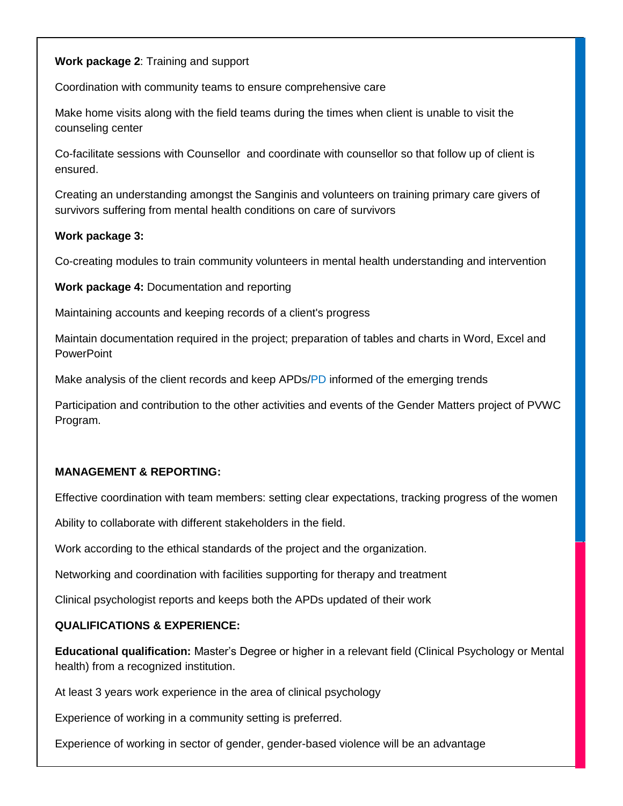### **Work package 2**: Training and support

Coordination with community teams to ensure comprehensive care

Make home visits along with the field teams during the times when client is unable to visit the counseling center

Co-facilitate sessions with Counsellor and coordinate with counsellor so that follow up of client is ensured.

Creating an understanding amongst the Sanginis and volunteers on training primary care givers of survivors suffering from mental health conditions on care of survivors

#### **Work package 3:**

Co-creating modules to train community volunteers in mental health understanding and intervention

**Work package 4:** Documentation and reporting

Maintaining accounts and keeping records of a client's progress

Maintain documentation required in the project; preparation of tables and charts in Word, Excel and **PowerPoint** 

Make analysis of the client records and keep APDs/PD informed of the emerging trends

Participation and contribution to the other activities and events of the Gender Matters project of PVWC Program.

#### **MANAGEMENT & REPORTING:**

Effective coordination with team members: setting clear expectations, tracking progress of the women

Ability to collaborate with different stakeholders in the field.

Work according to the ethical standards of the project and the organization.

Networking and coordination with facilities supporting for therapy and treatment

Clinical psychologist reports and keeps both the APDs updated of their work

#### **QUALIFICATIONS & EXPERIENCE:**

**Educational qualification:** Master's Degree or higher in a relevant field (Clinical Psychology or Mental health) from a recognized institution.

At least 3 years work experience in the area of clinical psychology

Experience of working in a community setting is preferred.

Experience of working in sector of gender, gender-based violence will be an advantage